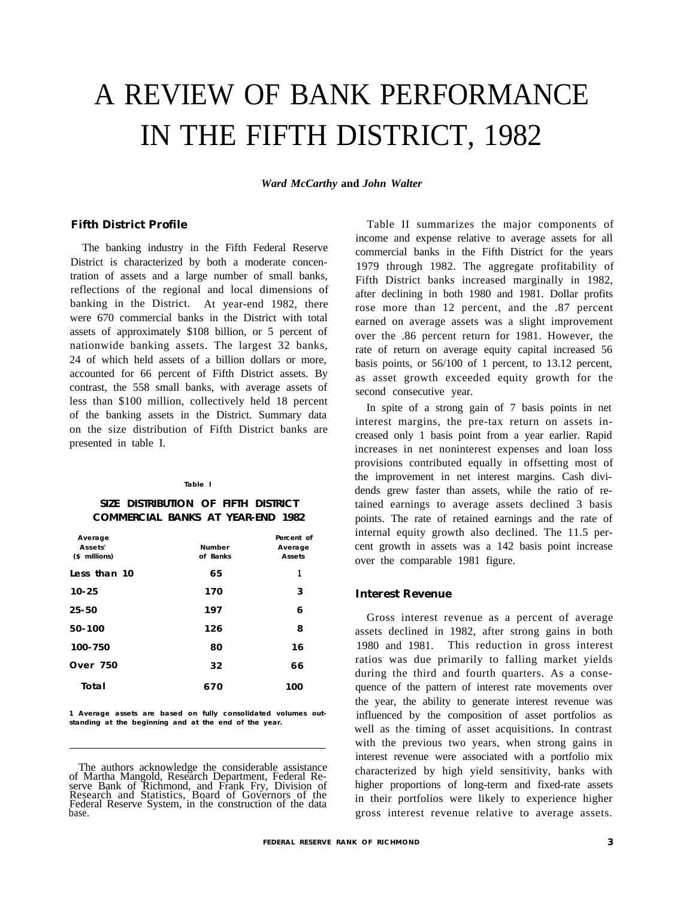# A REVIEW OF BANK PERFORMANCE IN THE FIFTH DISTRICT, 1982

*Ward McCarthy* **and** *John Walter*

## **Fifth District Profile**

The banking industry in the Fifth Federal Reserve District is characterized by both a moderate concentration of assets and a large number of small banks, reflections of the regional and local dimensions of banking in the District. At year-end 1982, there were 670 commercial banks in the District with total assets of approximately \$108 billion, or 5 percent of nationwide banking assets. The largest 32 banks, 24 of which held assets of a billion dollars or more, accounted for 66 percent of Fifth District assets. By contrast, the 558 small banks, with average assets of less than \$100 million, collectively held 18 percent of the banking assets in the District. Summary data on the size distribution of Fifth District banks are presented in table I.

#### **Table I**

## **SIZE DISTRIBUTION OF FIFTH DISTRICT COMMERCIAL BANKS AT YEAR-END 1982**

| Average<br>Assets <sup>1</sup><br>(\$ millions) | Number<br>of Banks | Percent of<br>Average<br>Assets |
|-------------------------------------------------|--------------------|---------------------------------|
| Less than 10                                    | 65                 | 1                               |
| $10 - 25$                                       | 170                | 3                               |
| $25 - 50$                                       | 197                | 6                               |
| 50-100                                          | 126                | 8                               |
| 100-750                                         | 80                 | 16                              |
| <b>Over 750</b>                                 | 32                 | 66                              |
| Total                                           | 670                | 100                             |

**1 Average assets are based on fully consolidated volumes outstanding at the beginning and at the end of the year.**

Table II summarizes the major components of income and expense relative to average assets for all commercial banks in the Fifth District for the years 1979 through 1982. The aggregate profitability of Fifth District banks increased marginally in 1982, after declining in both 1980 and 1981. Dollar profits rose more than 12 percent, and the .87 percent earned on average assets was a slight improvement over the .86 percent return for 1981. However, the rate of return on average equity capital increased 56 basis points, or 56/100 of 1 percent, to 13.12 percent, as asset growth exceeded equity growth for the second consecutive year.

In spite of a strong gain of 7 basis points in net interest margins, the pre-tax return on assets increased only 1 basis point from a year earlier. Rapid increases in net noninterest expenses and loan loss provisions contributed equally in offsetting most of the improvement in net interest margins. Cash dividends grew faster than assets, while the ratio of retained earnings to average assets declined 3 basis points. The rate of retained earnings and the rate of internal equity growth also declined. The 11.5 percent growth in assets was a 142 basis point increase over the comparable 1981 figure.

#### **Interest Revenue**

Gross interest revenue as a percent of average assets declined in 1982, after strong gains in both 1980 and 1981. This reduction in gross interest ratios was due primarily to falling market yields during the third and fourth quarters. As a consequence of the pattern of interest rate movements over the year, the ability to generate interest revenue was influenced by the composition of asset portfolios as well as the timing of asset acquisitions. In contrast with the previous two years, when strong gains in interest revenue were associated with a portfolio mix characterized by high yield sensitivity, banks with higher proportions of long-term and fixed-rate assets in their portfolios were likely to experience higher gross interest revenue relative to average assets.

The authors acknowledge the considerable assistance of Martha Mangold, Research Department, Federal Reserve Bank of Richmond, and Frank Fry, Division of Research and Statistics, Board of Governors of the Federal Reserve System, in the construction of the data base.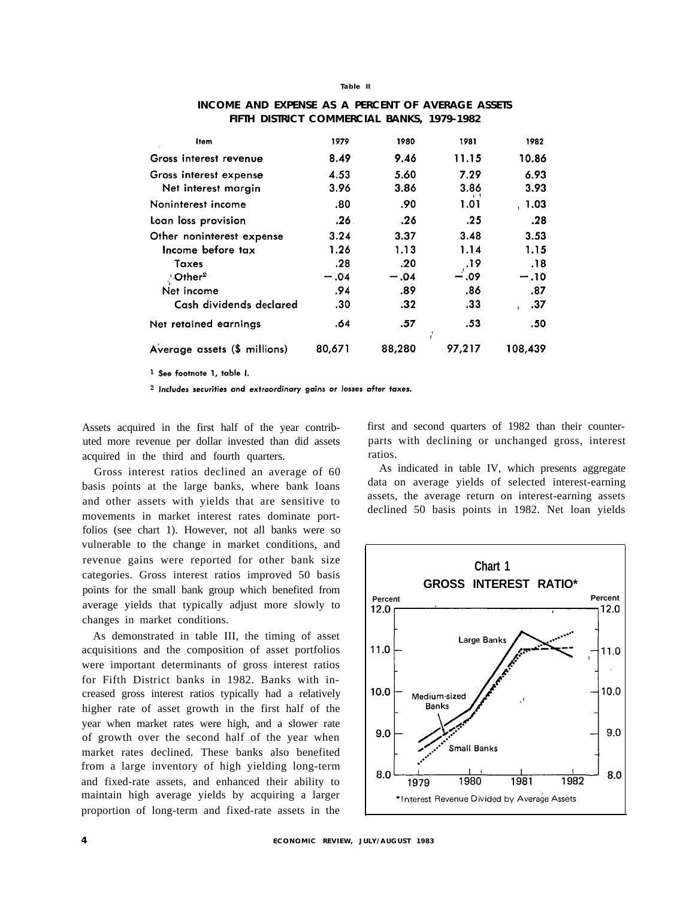**Table II**

| Item                                          | 1979             | 1980         | 1981         | 1982         |
|-----------------------------------------------|------------------|--------------|--------------|--------------|
| Gross interest revenue                        | 8.49             | 9.46         | 11.15        | 10.86        |
| Gross interest expense<br>Net interest margin | 4.53<br>3.96     | 5.60<br>3.86 | 7.29<br>3.86 | 6.93<br>3.93 |
| Noninterest income                            | .80              | .90          | 1.01         | 1.03         |
| Loan loss provision                           | .26 <sub>1</sub> | .26          | .25          | .28          |
| Other noninterest expense                     | 3.24             | 3.37         | 3.48         | 3.53         |
| Income before tax                             | 1.26             | 1.13         | 1.14         | 1.15         |
| Taxes                                         | .28              | .20          | .19          | .18          |
| $^{\circ}$ Other <sup>2</sup>                 | $-.04$           | $-.04$       | $-.09$       | $-.10$       |
| Net income                                    | .94              | .89          | .86          | .87          |
| Cash dividends declared                       | .30              | .32          | .33          | .37          |
| Net retained earnings                         | .64              | .57          | .53          | .50          |
| Average assets (\$ millions)                  | 80,671           | 88,280       | 97,217       | 108,439      |

# **INCOME AND EXPENSE AS A PERCENT OF AVERAGE ASSETS FIFTH DISTRICT COMMERCIAL BANKS, 1979-1982**

<sup>1</sup> See footnote 1, table *I*.

<sup>2</sup> Includes securities and extraordinary gains or losses after taxes.

Assets acquired in the first half of the year contributed more revenue per dollar invested than did assets acquired in the third and fourth quarters.

Gross interest ratios declined an average of 60 basis points at the large banks, where bank loans and other assets with yields that are sensitive to movements in market interest rates dominate portfolios (see chart 1). However, not all banks were so vulnerable to the change in market conditions, and revenue gains were reported for other bank size categories. Gross interest ratios improved 50 basis points for the small bank group which benefited from average yields that typically adjust more slowly to changes in market conditions.

As demonstrated in table III, the timing of asset acquisitions and the composition of asset portfolios were important determinants of gross interest ratios for Fifth District banks in 1982. Banks with increased gross interest ratios typically had a relatively higher rate of asset growth in the first half of the year when market rates were high, and a slower rate of growth over the second half of the year when market rates declined. These banks also benefited from a large inventory of high yielding long-term and fixed-rate assets, and enhanced their ability to maintain high average yields by acquiring a larger proportion of long-term and fixed-rate assets in the

first and second quarters of 1982 than their counterparts with declining or unchanged gross, interest ratios.

As indicated in table IV, which presents aggregate data on average yields of selected interest-earning assets, the average return on interest-earning assets declined 50 basis points in 1982. Net loan yields

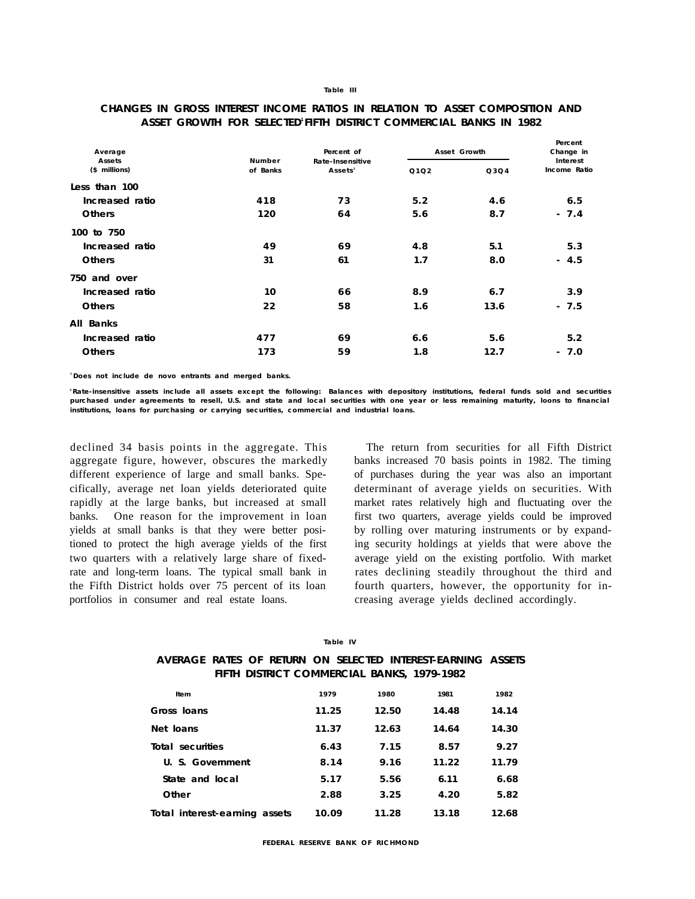| Average                 |                    | Percent of                              |      | Asset Growth | Percent<br>Change in     |
|-------------------------|--------------------|-----------------------------------------|------|--------------|--------------------------|
| Assets<br>(\$ millions) | Number<br>of Banks | Rate-Insensitive<br>Assets <sup>2</sup> | Q1Q2 | Q3Q4         | Interest<br>Income Ratio |
| Less than 100           |                    |                                         |      |              |                          |
| Increased ratio         | 418                | 73                                      | 5.2  | 4.6          | 6.5                      |
| <b>Others</b>           | 120                | 64                                      | 5.6  | 8.7          | $-7.4$                   |
| 100 to 750              |                    |                                         |      |              |                          |
| Increased ratio         | 49                 | 69                                      | 4.8  | 5.1          | 5.3                      |
| <b>Others</b>           | 31                 | 61                                      | 1.7  | 8.0          | $-4.5$                   |
| 750 and over            |                    |                                         |      |              |                          |
| Increased ratio         | 10                 | 66                                      | 8.9  | 6.7          | 3.9                      |
| <b>Others</b>           | 22                 | 58                                      | 1.6  | 13.6         | $-7.5$                   |
| All Banks               |                    |                                         |      |              |                          |
| Increased ratio         | 477                | 69                                      | 6.6  | 5.6          | 5.2                      |
| <b>Others</b>           | 173                | 59                                      | 1.8  | 12.7         | $-7.0$                   |

## **CHANGES IN GROSS INTEREST INCOME RATIOS IN RELATION TO ASSET COMPOSITION AND ASSET GROWTH FOR SELECTED<sup>1</sup>FIFTH DISTRICT COMMERCIAL BANKS IN 1982**

**<sup>1</sup>Does not include de novo entrants and merged banks.**

**<sup>2</sup>Rate-insensitive assets include all assets except the following: Balances with depository institutions, federal funds sold and securities purchased under agreements to resell, U.S. and state and local securities with one year or less remaining maturity, loons to financial institutions, loans for purchasing or carrying securities, commercial and industrial loans.**

declined 34 basis points in the aggregate. This The return from securities for all Fifth District aggregate figure, however, obscures the markedly banks increased 70 basis points in 1982. The timing different experience of large and small banks. Spe- of purchases during the year was also an important cifically, average net loan yields deteriorated quite determinant of average yields on securities. With rapidly at the large banks, but increased at small market rates relatively high and fluctuating over the banks. One reason for the improvement in loan first two quarters, average yields could be improved yields at small banks is that they were better posi- by rolling over maturing instruments or by expandtioned to protect the high average yields of the first ing security holdings at yields that were above the two quarters with a relatively large share of fixed- average yield on the existing portfolio. With market rate and long-term loans. The typical small bank in rates declining steadily throughout the third and the Fifth District holds over 75 percent of its loan fourth quarters, however, the opportunity for inportfolios in consumer and real estate loans. creasing average yields declined accordingly.

| Table |  |
|-------|--|
|       |  |

| AVERAGE RATES OF RETURN ON SELECTED INTEREST-EARNING ASSETS |                                            |  |  |  |  |  |
|-------------------------------------------------------------|--------------------------------------------|--|--|--|--|--|
|                                                             | FIFTH DISTRICT COMMERCIAL BANKS, 1979-1982 |  |  |  |  |  |

| Item                          | 1979  | 1980  | 1981  | 1982  |
|-------------------------------|-------|-------|-------|-------|
| Gross Joans                   | 11.25 | 12.50 | 14.48 | 14.14 |
| Net loans                     | 11.37 | 12.63 | 14.64 | 14.30 |
| Total securities              | 6.43  | 7.15  | 8.57  | 9.27  |
| U. S. Government              | 8.14  | 9.16  | 11.22 | 11.79 |
| State and local               | 5.17  | 5.56  | 6.11  | 6.68  |
| Other                         | 2.88  | 3.25  | 4.20  | 5.82  |
| Total interest-earning assets | 10.09 | 11.28 | 13.18 | 12.68 |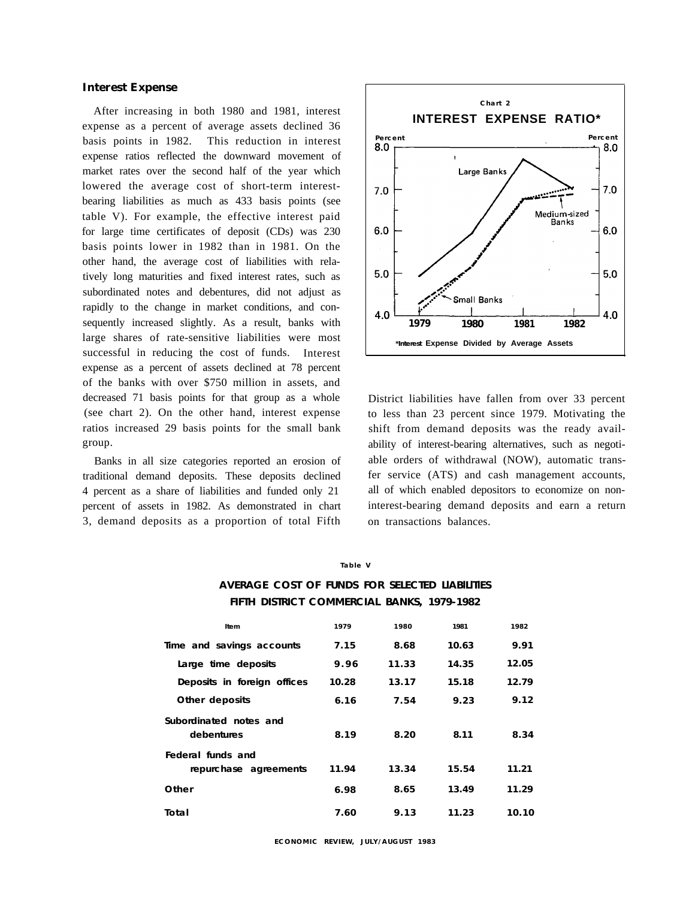## **Interest Expense**

After increasing in both 1980 and 1981, interest expense as a percent of average assets declined 36 basis points in 1982. This reduction in interest expense ratios reflected the downward movement of market rates over the second half of the year which lowered the average cost of short-term interestbearing liabilities as much as 433 basis points (see table V). For example, the effective interest paid for large time certificates of deposit (CDs) was 230 basis points lower in 1982 than in 1981. On the other hand, the average cost of liabilities with relatively long maturities and fixed interest rates, such as subordinated notes and debentures, did not adjust as rapidly to the change in market conditions, and consequently increased slightly. As a result, banks with large shares of rate-sensitive liabilities were most successful in reducing the cost of funds. Interest expense as a percent of assets declined at 78 percent of the banks with over \$750 million in assets, and decreased 71 basis points for that group as a whole (see chart 2). On the other hand, interest expense ratios increased 29 basis points for the small bank group.

Banks in all size categories reported an erosion of traditional demand deposits. These deposits declined 4 percent as a share of liabilities and funded only 21 percent of assets in 1982. As demonstrated in chart 3, demand deposits as a proportion of total Fifth



District liabilities have fallen from over 33 percent to less than 23 percent since 1979. Motivating the shift from demand deposits was the ready availability of interest-bearing alternatives, such as negotiable orders of withdrawal (NOW), automatic transfer service (ATS) and cash management accounts, all of which enabled depositors to economize on noninterest-bearing demand deposits and earn a return on transactions balances.

#### **Table V**

| Item                                 | 1979  | 1980  | 1981  | 1982  |
|--------------------------------------|-------|-------|-------|-------|
| Time and savings accounts            | 7.15  | 8.68  | 10.63 | 9.91  |
| Large time deposits                  | 9.96  | 11.33 | 14.35 | 12.05 |
| Deposits in foreign offices          | 10.28 | 13.17 | 15.18 | 12.79 |
| Other deposits                       | 6.16  | 7.54  | 9.23  | 9.12  |
| Subordinated notes and<br>debentures | 8.19  | 8.20  | 8.11  | 8.34  |
| Federal funds and                    |       |       |       |       |
| repurchase agreements                | 11.94 | 13.34 | 15.54 | 11.21 |
| Other                                | 6.98  | 8.65  | 13.49 | 11.29 |
| Total                                | 7.60  | 9.13  | 11.23 | 10.10 |

# **AVERAGE COST OF FUNDS FOR SELECTED LlABlLlTlES FIFTH DISTRICT COMMERCIAL BANKS, 1979-1982**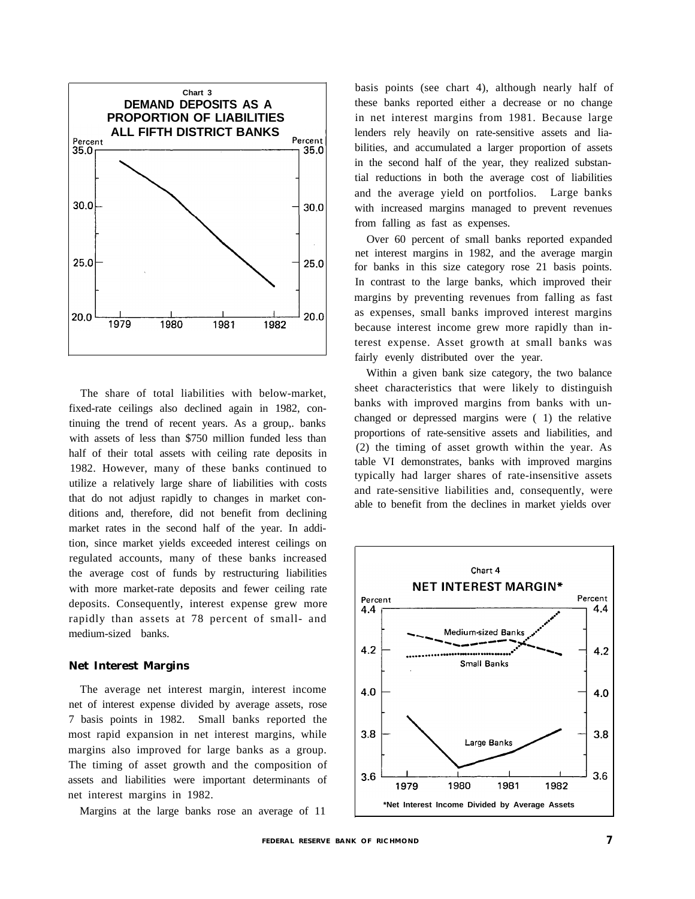

The share of total liabilities with below-market, fixed-rate ceilings also declined again in 1982, continuing the trend of recent years. As a group,. banks with assets of less than \$750 million funded less than half of their total assets with ceiling rate deposits in 1982. However, many of these banks continued to utilize a relatively large share of liabilities with costs that do not adjust rapidly to changes in market conditions and, therefore, did not benefit from declining market rates in the second half of the year. In addition, since market yields exceeded interest ceilings on regulated accounts, many of these banks increased the average cost of funds by restructuring liabilities with more market-rate deposits and fewer ceiling rate deposits. Consequently, interest expense grew more rapidly than assets at 78 percent of small- and medium-sized banks.

#### **Net Interest Margins**

The average net interest margin, interest income net of interest expense divided by average assets, rose 7 basis points in 1982. Small banks reported the most rapid expansion in net interest margins, while margins also improved for large banks as a group. The timing of asset growth and the composition of assets and liabilities were important determinants of net interest margins in 1982.

Margins at the large banks rose an average of 11

basis points (see chart 4), although nearly half of these banks reported either a decrease or no change in net interest margins from 1981. Because large lenders rely heavily on rate-sensitive assets and liabilities, and accumulated a larger proportion of assets in the second half of the year, they realized substantial reductions in both the average cost of liabilities and the average yield on portfolios. Large banks with increased margins managed to prevent revenues from falling as fast as expenses.

Over 60 percent of small banks reported expanded net interest margins in 1982, and the average margin for banks in this size category rose 21 basis points. In contrast to the large banks, which improved their margins by preventing revenues from falling as fast as expenses, small banks improved interest margins because interest income grew more rapidly than interest expense. Asset growth at small banks was fairly evenly distributed over the year.

Within a given bank size category, the two balance sheet characteristics that were likely to distinguish banks with improved margins from banks with unchanged or depressed margins were ( 1) the relative proportions of rate-sensitive assets and liabilities, and (2) the timing of asset growth within the year. As table VI demonstrates, banks with improved margins typically had larger shares of rate-insensitive assets and rate-sensitive liabilities and, consequently, were able to benefit from the declines in market yields over

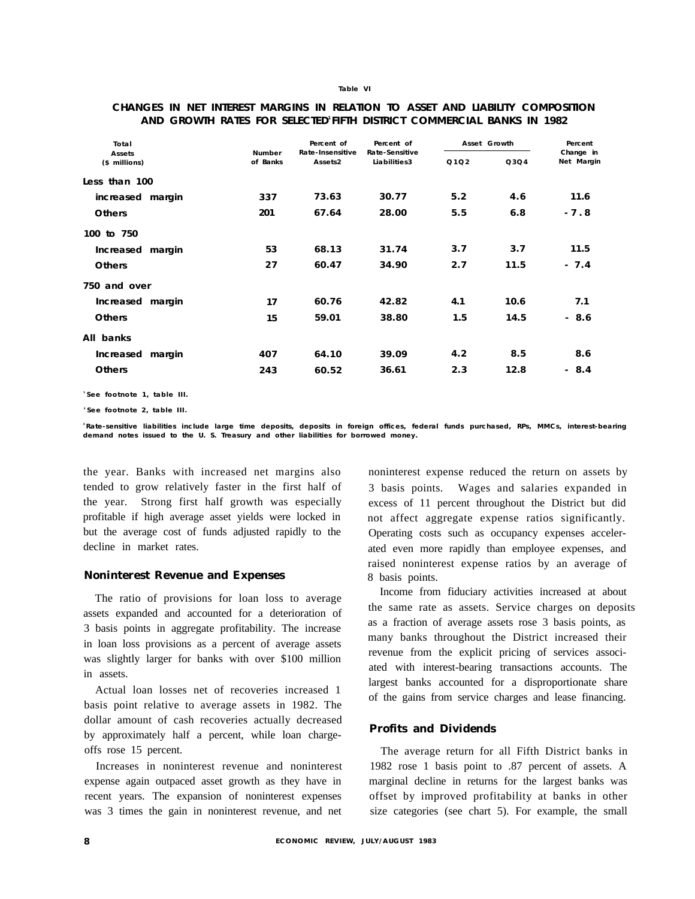#### **Table VI**

| Total                   |                           | Percent of                  | Percent of                            | <b>Asset Growth</b> | Percent |                         |
|-------------------------|---------------------------|-----------------------------|---------------------------------------|---------------------|---------|-------------------------|
| Assets<br>(\$ millions) | <b>Number</b><br>of Banks | Rate-Insensitive<br>Assets2 | <b>Rate-Sensitive</b><br>Liabilities3 | Q1Q2                | Q3Q4    | Change in<br>Net Margin |
| Less than 100           |                           |                             |                                       |                     |         |                         |
| increased margin        | 337                       | 73.63                       | 30.77                                 | 5.2                 | 4.6     | 11.6                    |
| <b>Others</b>           | 201                       | 67.64                       | 28.00                                 | 5.5                 | 6.8     | $-7.8$                  |
| 100 to 750              |                           |                             |                                       |                     |         |                         |
| Increased<br>margin     | 53                        | 68.13                       | 31.74                                 | 3.7                 | 3.7     | 11.5                    |
| <b>Others</b>           | 27                        | 60.47                       | 34.90                                 | 2.7                 | 11.5    | $-7.4$                  |
| 750 and over            |                           |                             |                                       |                     |         |                         |
| Increased margin        | 17                        | 60.76                       | 42.82                                 | 4.1                 | 10.6    | 7.1                     |
| <b>Others</b>           | 15                        | 59.01                       | 38.80                                 | 1.5                 | 14.5    | $-8.6$                  |
| All banks               |                           |                             |                                       |                     |         |                         |
| margin<br>Increased     | 407                       | 64.10                       | 39.09                                 | 4.2                 | 8.5     | 8.6                     |
| <b>Others</b>           | 243                       | 60.52                       | 36.61                                 | 2.3                 | 12.8    | - 8.4                   |
|                         |                           |                             |                                       |                     |         |                         |

### **CHANGES IN NET INTEREST MARGINS IN RELATION TO ASSET AND LIABILITY COMPOSITION AND GROWTH RATES FOR SELECTED<sup>1</sup>FIFTH DISTRICT COMMERCIAL BANKS IN 1982**

**<sup>1</sup>See footnote 1, table III.**

**<sup>2</sup>See footnote 2, table III.**

**<sup>3</sup>Rate-sensitive liabilities include large time deposits, deposits in foreign offices, federal funds purchased, RPs, MMCs, interest-bearing demand notes issued to the U. S. Treasury and other liabilities for borrowed money.**

the year. Banks with increased net margins also tended to grow relatively faster in the first half of the year. Strong first half growth was especially profitable if high average asset yields were locked in but the average cost of funds adjusted rapidly to the decline in market rates.

#### **Noninterest Revenue and Expenses**

The ratio of provisions for loan loss to average assets expanded and accounted for a deterioration of 3 basis points in aggregate profitability. The increase in loan loss provisions as a percent of average assets was slightly larger for banks with over \$100 million in assets.

Actual loan losses net of recoveries increased 1 basis point relative to average assets in 1982. The dollar amount of cash recoveries actually decreased by approximately half a percent, while loan chargeoffs rose 15 percent.

Increases in noninterest revenue and noninterest expense again outpaced asset growth as they have in recent years. The expansion of noninterest expenses was 3 times the gain in noninterest revenue, and net noninterest expense reduced the return on assets by 3 basis points. Wages and salaries expanded in excess of 11 percent throughout the District but did not affect aggregate expense ratios significantly. Operating costs such as occupancy expenses accelerated even more rapidly than employee expenses, and raised noninterest expense ratios by an average of 8 basis points.

Income from fiduciary activities increased at about the same rate as assets. Service charges on deposits as a fraction of average assets rose 3 basis points, as many banks throughout the District increased their revenue from the explicit pricing of services associated with interest-bearing transactions accounts. The largest banks accounted for a disproportionate share of the gains from service charges and lease financing.

## **Profits and Dividends**

The average return for all Fifth District banks in 1982 rose 1 basis point to .87 percent of assets. A marginal decline in returns for the largest banks was offset by improved profitability at banks in other size categories (see chart 5). For example, the small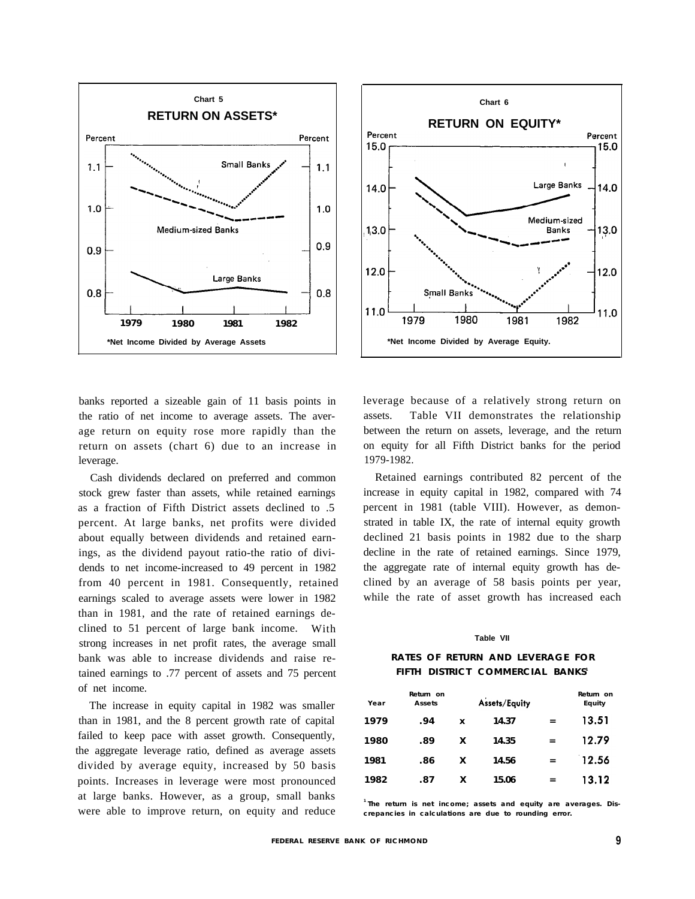



banks reported a sizeable gain of 11 basis points in the ratio of net income to average assets. The average return on equity rose more rapidly than the return on assets (chart 6) due to an increase in leverage.

Cash dividends declared on preferred and common stock grew faster than assets, while retained earnings as a fraction of Fifth District assets declined to .5 percent. At large banks, net profits were divided about equally between dividends and retained earnings, as the dividend payout ratio-the ratio of dividends to net income-increased to 49 percent in 1982 from 40 percent in 1981. Consequently, retained earnings scaled to average assets were lower in 1982 than in 1981, and the rate of retained earnings declined to 51 percent of large bank income. With strong increases in net profit rates, the average small bank was able to increase dividends and raise retained earnings to .77 percent of assets and 75 percent of net income.

The increase in equity capital in 1982 was smaller than in 1981, and the 8 percent growth rate of capital failed to keep pace with asset growth. Consequently, the aggregate leverage ratio, defined as average assets divided by average equity, increased by 50 basis points. Increases in leverage were most pronounced at large banks. However, as a group, small banks were able to improve return, on equity and reduce leverage because of a relatively strong return on assets. Table VII demonstrates the relationship between the return on assets, leverage, and the return on equity for all Fifth District banks for the period 1979-1982.

Retained earnings contributed 82 percent of the increase in equity capital in 1982, compared with 74 percent in 1981 (table VIII). However, as demonstrated in table IX, the rate of internal equity growth declined 21 basis points in 1982 due to the sharp decline in the rate of retained earnings. Since 1979, the aggregate rate of internal equity growth has declined by an average of 58 basis points per year, while the rate of asset growth has increased each

#### **Table VII**

## **RATES OF RETURN AND LEVERAGE FOR FIFTH DISTRICT COMMERCIAL BANKS<sup>®</sup>**

| Year | Return<br>- on<br>Assets |   | Assets/Equity |     | Return on<br>Equity |
|------|--------------------------|---|---------------|-----|---------------------|
| 1979 | .94                      | x | 14.37         | $=$ | 13.51               |
| 1980 | .89                      | X | 14.35         | $=$ | 12.79               |
| 1981 | .86                      | X | 14.56         | $=$ | 12.56               |
| 1982 | .87                      | X | 15.06         | $=$ | 13.12               |

**<sup>1</sup>The return is net income; assets and equity are averages. Discrepancies in calculations are due to rounding error.**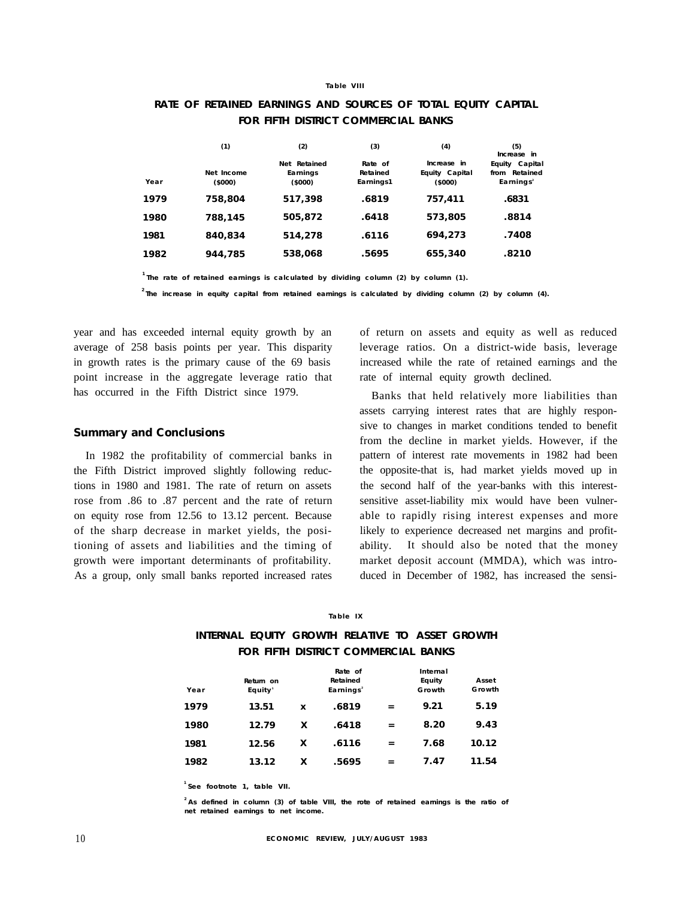#### **Table VIII**

|      | (1)                  | (2)                                | (3)                              | (4)                                     | (5)<br>Increase in                                       |
|------|----------------------|------------------------------------|----------------------------------|-----------------------------------------|----------------------------------------------------------|
| Year | Net Income<br>(5000) | Net Retained<br>Earnings<br>(5000) | Rate of<br>Retained<br>Earnings1 | Increase in<br>Equity Capital<br>(5000) | Equity Capital<br>from Retained<br>Earnings <sup>2</sup> |
| 1979 | 758,804              | 517,398                            | .6819                            | 757,411                                 | .6831                                                    |
| 1980 | 788,145              | 505,872                            | .6418                            | 573.805                                 | .8814                                                    |
| 1981 | 840.834              | 514,278                            | .6116                            | 694.273                                 | .7408                                                    |
| 1982 | 944,785              | 538,068                            | .5695                            | 655,340                                 | .8210                                                    |

# **RATE OF RETAINED EARNINGS AND SOURCES OF TOTAL EQUITY CAPITAL FOR FIFTH DISTRICT COMMERCIAL BANKS**

**<sup>1</sup>The rate of retained earnings is calculated by dividing column (2) by column (1).**

**<sup>2</sup>The increase in equity capital from retained earnings is calculated by dividing column (2) by column (4).**

year and has exceeded internal equity growth by an average of 258 basis points per year. This disparity in growth rates is the primary cause of the 69 basis point increase in the aggregate leverage ratio that has occurred in the Fifth District since 1979.

### **Summary and Conclusions**

In 1982 the profitability of commercial banks in the Fifth District improved slightly following reductions in 1980 and 1981. The rate of return on assets rose from .86 to .87 percent and the rate of return on equity rose from 12.56 to 13.12 percent. Because of the sharp decrease in market yields, the positioning of assets and liabilities and the timing of growth were important determinants of profitability. As a group, only small banks reported increased rates

of return on assets and equity as well as reduced leverage ratios. On a district-wide basis, leverage increased while the rate of retained earnings and the rate of internal equity growth declined.

Banks that held relatively more liabilities than assets carrying interest rates that are highly responsive to changes in market conditions tended to benefit from the decline in market yields. However, if the pattern of interest rate movements in 1982 had been the opposite-that is, had market yields moved up in the second half of the year-banks with this interestsensitive asset-liability mix would have been vulnerable to rapidly rising interest expenses and more likely to experience decreased net margins and profitability. It should also be noted that the money market deposit account (MMDA), which was introduced in December of 1982, has increased the sensi-

**Table IX**

|  |  | INTERNAL EQUITY GROWTH RELATIVE TO ASSET GROWTH |  |  |
|--|--|-------------------------------------------------|--|--|
|  |  | FOR FIFTH DISTRICT COMMERCIAL BANKS             |  |  |

| Year | Return on<br>Equity' |   | Rate of<br>Retained<br>Earnings <sup>2</sup> |     | Internal<br>Equity<br>Growth | Asset<br>Growth |
|------|----------------------|---|----------------------------------------------|-----|------------------------------|-----------------|
| 1979 | 13.51                | x | .6819                                        | $=$ | 9.21                         | 5.19            |
| 1980 | 12.79                | X | .6418                                        |     | 8.20                         | 9.43            |
| 1981 | 12.56                | X | .6116                                        | $=$ | 7.68                         | 10.12           |
| 1982 | 13.12                | x | .5695                                        | $=$ | 7.47                         | 11.54           |

**<sup>1</sup>See footnote 1, table VII.**

**<sup>2</sup>As defined in column (3) of table VIII, the rote of retained earnings is the ratio of net retained earnings to net income.**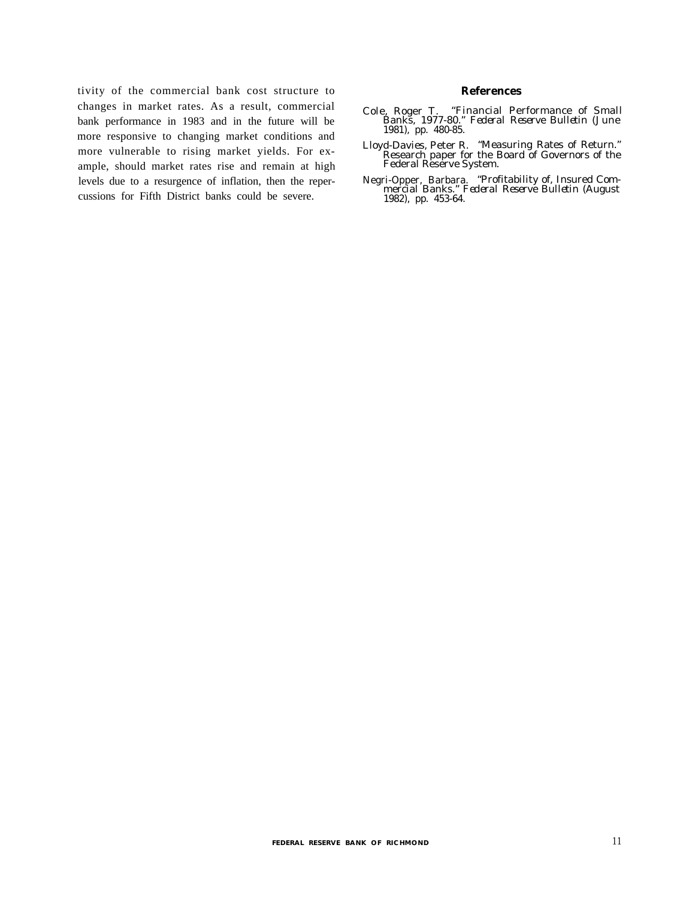tivity of the commercial bank cost structure to changes in market rates. As a result, commercial bank performance in 1983 and in the future will be more responsive to changing market conditions and more vulnerable to rising market yields. For example, should market rates rise and remain at high levels due to a resurgence of inflation, then the repercussions for Fifth District banks could be severe.

### **References**

- Cole, Roger T. "Financial Performance of Small Banks, 1977-80." *Federal Reserve Bulletin* (June 1981), pp. 480-85.
- Lloyd-Davies, Peter R. "Measuring Rates of Return." Research paper for the Board of Governors of the Federal Reserve System.
- Negri-Opper, Barbara. "Profitability of, Insured Commercial Banks." *Federal Reserve Bulletin* (August 1982), pp. 453-64.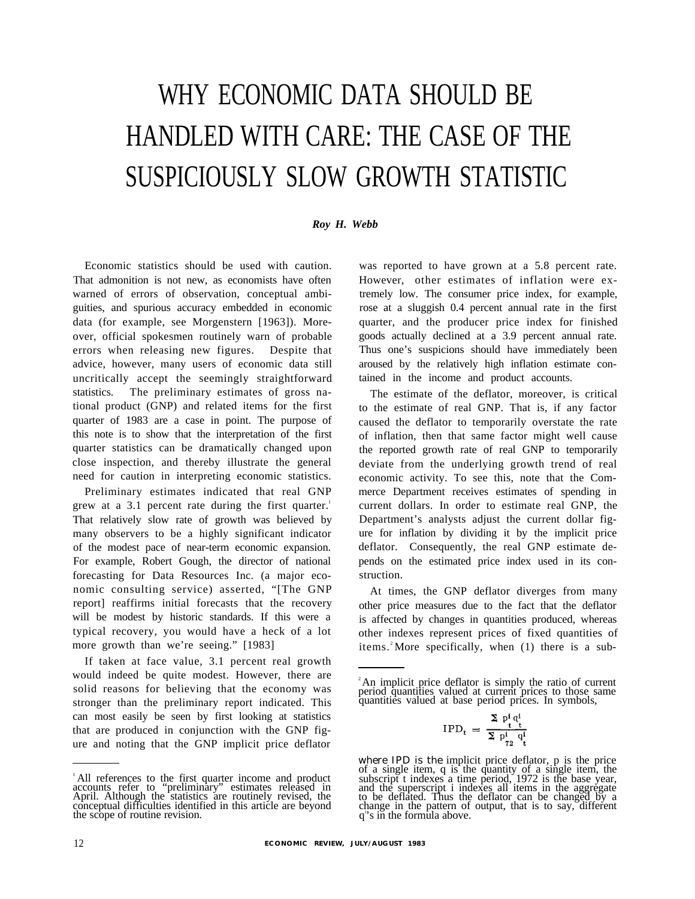# WHY ECONOMIC DATA SHOULD BE HANDLED WITH CARE: THE CASE OF THE SUSPICIOUSLY SLOW GROWTH STATISTIC

### *Roy H. Webb*

Economic statistics should be used with caution. That admonition is not new, as economists have often warned of errors of observation, conceptual ambiguities, and spurious accuracy embedded in economic data (for example, see Morgenstern [1963]). Moreover, official spokesmen routinely warn of probable errors when releasing new figures. Despite that advice, however, many users of economic data still uncritically accept the seemingly straightforward statistics. The preliminary estimates of gross national product (GNP) and related items for the first quarter of 1983 are a case in point. The purpose of this note is to show that the interpretation of the first quarter statistics can be dramatically changed upon close inspection, and thereby illustrate the general need for caution in interpreting economic statistics.

Preliminary estimates indicated that real GNP grew at a 3.1 percent rate during the first quarter.<sup>1</sup> That relatively slow rate of growth was believed by many observers to be a highly significant indicator of the modest pace of near-term economic expansion. For example, Robert Gough, the director of national forecasting for Data Resources Inc. (a major economic consulting service) asserted, "[The GNP report] reaffirms initial forecasts that the recovery will be modest by historic standards. If this were a typical recovery, you would have a heck of a lot more growth than we're seeing." [1983]

If taken at face value, 3.1 percent real growth would indeed be quite modest. However, there are solid reasons for believing that the economy was stronger than the preliminary report indicated. This can most easily be seen by first looking at statistics that are produced in conjunction with the GNP figure and noting that the GNP implicit price deflator

was reported to have grown at a 5.8 percent rate. However, other estimates of inflation were extremely low. The consumer price index, for example, rose at a sluggish 0.4 percent annual rate in the first quarter, and the producer price index for finished goods actually declined at a 3.9 percent annual rate. Thus one's suspicions should have immediately been aroused by the relatively high inflation estimate contained in the income and product accounts.

The estimate of the deflator, moreover, is critical to the estimate of real GNP. That is, if any factor caused the deflator to temporarily overstate the rate of inflation, then that same factor might well cause the reported growth rate of real GNP to temporarily deviate from the underlying growth trend of real economic activity. To see this, note that the Commerce Department receives estimates of spending in current dollars. In order to estimate real GNP, the Department's analysts adjust the current dollar figure for inflation by dividing it by the implicit price deflator. Consequently, the real GNP estimate depends on the estimated price index used in its construction.

At times, the GNP deflator diverges from many other price measures due to the fact that the deflator is affected by changes in quantities produced, whereas other indexes represent prices of fixed quantities of items.  $^{2}$ More specifically, when (1) there is a sub-

$$
\operatorname{IPD}_t\,=\,\frac{\Sigma\,\operatorname{p}_t^i\operatorname{q}_t^i}{\Sigma\,\operatorname{p}_{72}^i\operatorname{q}_t^i}
$$

<sup>&</sup>lt;sup>1</sup>All references to the first quarter income and product accounts refer to "preliminary" estimates released in April. Although the statistics are routinely revised, the conceptual difficulties identified in this article are beyond the scope of routine revision.

<sup>2</sup>An implicit price deflator is simply the ratio of current period quantities valued at current prices to those same quantities valued at base period prices. In symbols,

where IPD is the implicit price deflator, p is the price of a single item,  $q$  is the quantity of a single item, the subscript t indexes a time period, 1972 is the base year, and the superscript i indexes all items in the aggregate to be deflated. Thus the deflator can be changed by a change in the pattern of output, that is to say, different i q 's in the formula above.